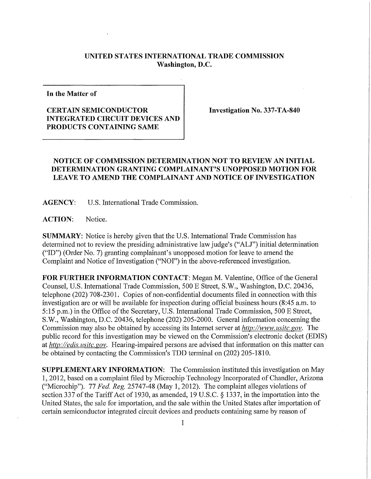## **UNITED STATES INTERNATIONAL TRADE COMMISSION Washington, D.C.**

**In the Matter of** 

## **CERTAIN SEMICONDUCTOR INTEGRATED CIRCUIT DEVICES AND PRODUCTS CONTAINING SAME**

**Investigation No. 337-TA-840** 

## **NOTICE OF COMMISSION DETERMINATION NOT TO REVIEW AN INITIAL DETERMINATION GRANTING COMPLAINANT'S UNOPPOSED MOTION FOR**  LEAVE TO AMEND THE COMPLAINANT AND NOTICE OF INVESTIGATION

**AGENCY:** U.S. International Trade Commission.

**ACTION:** Notice.

**SUMMARY:** Notice is hereby given that the U.S. International Trade Commission has determined not to review the presiding administrative law judge's ("ALJ") initial determination ("ID") (Order No. 7) granting complainant's unopposed motion for leave to amend the Complaint and Notice of Investigation ("NOI") in the above-referenced investigation.

**FOR FURTHER INFORMATION CONTACT:** Megan M. Valentine, Office of the General Counsel, U.S. International Trade Commission, 500 E Street, S.W., Washington, D.C. 20436, telephone (202) 708-2301. Copies of non-confidential documents filed in connection with this investigation are or will be available for inspection during official business hours (8:45 a.m. to 5:15 p.m.) in the Office of the Secretary, U.S. International Trade Commission, 500 E Street, S.W., Washington, D.C. 20436, telephone (202) 205-2000. General information concerning the Commission may also be obtained by accessing its Internet server at *http://www, usitc, gov.* The public record for this investigation may be viewed on the Commission's electronic docket (EDIS) at *http://edis. usitc.* gov. Hearing-impaired persons are advised that information on this matter can be obtained by contacting the Commission's TDD terminal on (202) 205-1810.

**SUPPLEMENTARY INFORMATION:** The Commission instituted this investigation on May 1, 2012, based on a complaint filed by Microchip Technology Incorporated of Chandler, Arizona ("Microchip"). 77 *Fed. Reg.* 25747-48 (May 1, 2012). The complaint alleges violations of section 337 of the Tariff Act of 1930, as amended, 19 U.S.C.  $\S$  1337, in the importation into the United States, the sale for importation, and the sale within the United States after importation of certain semiconductor integrated circuit devices and products containing same by reason of